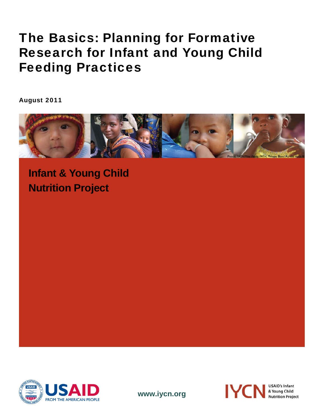# The Basics: Planning for Formative Research for Infant and Young Child Feeding Practices

August 2011



**Infant & Young Child Nutrition Project** 



**www.iycn.org** 

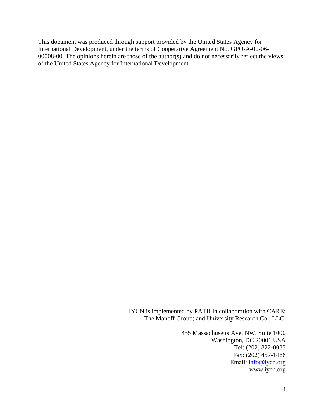This document was produced through support provided by the United States Agency for International Development, under the terms of Cooperative Agreement No. GPO-A-00-06- 00008-00. The opinions herein are those of the author(s) and do not necessarily reflect the views of the United States Agency for International Development.

> IYCN is implemented by PATH in collaboration with CARE; The Manoff Group; and University Research Co., LLC.

> > 455 Massachusetts Ave. NW, Suite 1000 Washington, DC 20001 USA Tel: (202) 822-0033 Fax: (202) 457-1466 Email: info@iycn.org www.iycn.org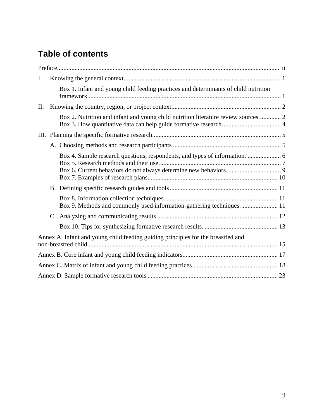# **Table of contents**

| Ι. |  |                                                                                     |  |  |  |  |
|----|--|-------------------------------------------------------------------------------------|--|--|--|--|
|    |  | Box 1. Infant and young child feeding practices and determinants of child nutrition |  |  |  |  |
| Π. |  |                                                                                     |  |  |  |  |
|    |  | Box 2. Nutrition and infant and young child nutrition literature review sources 2   |  |  |  |  |
| Ш. |  |                                                                                     |  |  |  |  |
|    |  |                                                                                     |  |  |  |  |
|    |  | Box 4. Sample research questions, respondents, and types of information.  6         |  |  |  |  |
|    |  |                                                                                     |  |  |  |  |
|    |  | Box 9. Methods and commonly used information-gathering techniques 11                |  |  |  |  |
|    |  |                                                                                     |  |  |  |  |
|    |  |                                                                                     |  |  |  |  |
|    |  | Annex A. Infant and young child feeding guiding principles for the breastfed and    |  |  |  |  |
|    |  |                                                                                     |  |  |  |  |
|    |  |                                                                                     |  |  |  |  |
|    |  |                                                                                     |  |  |  |  |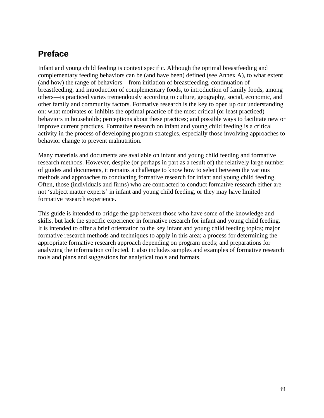### **Preface**

Infant and young child feeding is context specific. Although the optimal breastfeeding and complementary feeding behaviors can be (and have been) defined (see Annex A), to what extent (and how) the range of behaviors—from initiation of breastfeeding, continuation of breastfeeding, and introduction of complementary foods, to introduction of family foods, among others—is practiced varies tremendously according to culture, geography, social, economic, and other family and community factors. Formative research is the key to open up our understanding on: what motivates or inhibits the optimal practice of the most critical (or least practiced) behaviors in households; perceptions about these practices; and possible ways to facilitate new or improve current practices. Formative research on infant and young child feeding is a critical activity in the process of developing program strategies, especially those involving approaches to behavior change to prevent malnutrition.

Many materials and documents are available on infant and young child feeding and formative research methods. However, despite (or perhaps in part as a result of) the relatively large number of guides and documents, it remains a challenge to know how to select between the various methods and approaches to conducting formative research for infant and young child feeding. Often, those (individuals and firms) who are contracted to conduct formative research either are not 'subject matter experts' in infant and young child feeding, or they may have limited formative research experience.

This guide is intended to bridge the gap between those who have some of the knowledge and skills, but lack the specific experience in formative research for infant and young child feeding. It is intended to offer a brief orientation to the key infant and young child feeding topics; major formative research methods and techniques to apply in this area; a process for determining the appropriate formative research approach depending on program needs; and preparations for analyzing the information collected. It also includes samples and examples of formative research tools and plans and suggestions for analytical tools and formats.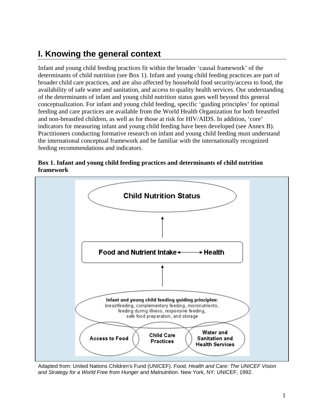# **I. Knowing the general context**

Infant and young child feeding practices fit within the broader 'causal framework' of the determinants of child nutrition (see Box 1). Infant and young child feeding practices are part of broader child care practices, and are also affected by household food security/access to food, the availability of safe water and sanitation, and access to quality health services. Our understanding of the determinants of infant and young child nutrition status goes well beyond this general conceptualization. For infant and young child feeding, specific 'guiding principles' for optimal feeding and care practices are available from the World Health Organization for both breastfed and non-breastfed children, as well as for those at risk for HIV/AIDS. In addition, 'core' indicators for measuring infant and young child feeding have been developed (see Annex B). Practitioners conducting formative research on infant and young child feeding must understand the international conceptual framework and be familiar with the internationally recognized feeding recommendations and indicators.





Adapted from: United Nations Children's Fund (UNICEF). *Food, Health and Care: The UNICEF Vision and Strategy for a World Free from Hunger and Malnutrition.* New York, NY: UNICEF, 1992.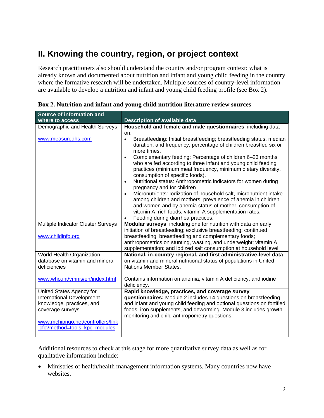# **II. Knowing the country, region, or project context**

Research practitioners also should understand the country and/or program context: what is already known and documented about nutrition and infant and young child feeding in the country where the formative research will be undertaken. Multiple sources of country-level information are available to develop a nutrition and infant and young child feeding profile (see Box 2).

| Source of information and<br>where to access                                                                                                                                        | <b>Description of available data</b>                                                                                                                                                                                                                                                                                                                                                                                                                                                                                                                                                                                                                                                                                                                                                                                                           |  |  |
|-------------------------------------------------------------------------------------------------------------------------------------------------------------------------------------|------------------------------------------------------------------------------------------------------------------------------------------------------------------------------------------------------------------------------------------------------------------------------------------------------------------------------------------------------------------------------------------------------------------------------------------------------------------------------------------------------------------------------------------------------------------------------------------------------------------------------------------------------------------------------------------------------------------------------------------------------------------------------------------------------------------------------------------------|--|--|
| Demographic and Health Surveys                                                                                                                                                      | Household and female and male questionnaires, including data<br>on:                                                                                                                                                                                                                                                                                                                                                                                                                                                                                                                                                                                                                                                                                                                                                                            |  |  |
| www.measuredhs.com                                                                                                                                                                  | Breastfeeding: Initial breastfeeding; breastfeeding status, median<br>$\bullet$<br>duration, and frequency; percentage of children breastfed six or<br>more times.<br>Complementary feeding: Percentage of children 6-23 months<br>$\bullet$<br>who are fed according to three infant and young child feeding<br>practices (minimum meal frequency, minimum dietary diversity,<br>consumption of specific foods).<br>Nutritional status: Anthropometric indicators for women during<br>$\bullet$<br>pregnancy and for children.<br>Micronutrients: lodization of household salt, micronutrient intake<br>among children and mothers, prevalence of anemia in children<br>and women and by anemia status of mother, consumption of<br>vitamin A-rich foods, vitamin A supplementation rates.<br>Feeding during diarrhea practices.<br>$\bullet$ |  |  |
| Multiple Indicator Cluster Surveys                                                                                                                                                  | Modular surveys, including one for nutrition with data on early<br>initiation of breastfeeding; exclusive breastfeeding; continued                                                                                                                                                                                                                                                                                                                                                                                                                                                                                                                                                                                                                                                                                                             |  |  |
| www.childinfo.org                                                                                                                                                                   | breastfeeding; breastfeeding and complementary foods;<br>anthropometrics on stunting, wasting, and underweight; vitamin A<br>supplementation; and iodized salt consumption at household level.                                                                                                                                                                                                                                                                                                                                                                                                                                                                                                                                                                                                                                                 |  |  |
| World Health Organization<br>database on vitamin and mineral                                                                                                                        | National, in-country regional, and first administrative-level data<br>on vitamin and mineral nutritional status of populations in United                                                                                                                                                                                                                                                                                                                                                                                                                                                                                                                                                                                                                                                                                                       |  |  |
| deficiencies                                                                                                                                                                        | Nations Member States.                                                                                                                                                                                                                                                                                                                                                                                                                                                                                                                                                                                                                                                                                                                                                                                                                         |  |  |
| www.who.int/vmnis/en/index.html                                                                                                                                                     | Contains information on anemia, vitamin A deficiency, and iodine<br>deficiency.                                                                                                                                                                                                                                                                                                                                                                                                                                                                                                                                                                                                                                                                                                                                                                |  |  |
| United States Agency for<br><b>International Development</b><br>knowledge, practices, and<br>coverage surveys<br>www.mchipngo.net/controllers/link<br>.cfc?method=tools_kpc_modules | Rapid knowledge, practices, and coverage survey<br>questionnaires: Module 2 includes 14 questions on breastfeeding<br>and infant and young child feeding and optional questions on fortified<br>foods, iron supplements, and deworming. Module 3 includes growth<br>monitoring and child anthropometry questions.                                                                                                                                                                                                                                                                                                                                                                                                                                                                                                                              |  |  |

|  |  |  |  |  | Box 2. Nutrition and infant and young child nutrition literature review sources |  |
|--|--|--|--|--|---------------------------------------------------------------------------------|--|
|--|--|--|--|--|---------------------------------------------------------------------------------|--|

Additional resources to check at this stage for more quantitative survey data as well as for qualitative information include:

 Ministries of health/health management information systems. Many countries now have websites.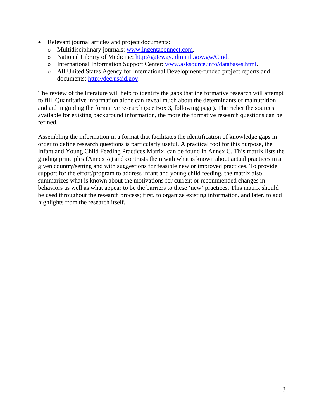- Relevant journal articles and project documents:
	- o Multidisciplinary journals: www.ingentaconnect.com.
	- o National Library of Medicine: http://gateway.nlm.nih.gov.gw/Cmd.
	- o International Information Support Center: www.asksource.info/databases.html.
	- o All United States Agency for International Development-funded project reports and documents: http://dec.usaid.gov.

The review of the literature will help to identify the gaps that the formative research will attempt to fill. Quantitative information alone can reveal much about the determinants of malnutrition and aid in guiding the formative research (see Box 3, following page). The richer the sources available for existing background information, the more the formative research questions can be refined.

Assembling the information in a format that facilitates the identification of knowledge gaps in order to define research questions is particularly useful. A practical tool for this purpose, the Infant and Young Child Feeding Practices Matrix, can be found in Annex C. This matrix lists the guiding principles (Annex A) and contrasts them with what is known about actual practices in a given country/setting and with suggestions for feasible new or improved practices. To provide support for the effort/program to address infant and young child feeding, the matrix also summarizes what is known about the motivations for current or recommended changes in behaviors as well as what appear to be the barriers to these 'new' practices. This matrix should be used throughout the research process; first, to organize existing information, and later, to add highlights from the research itself.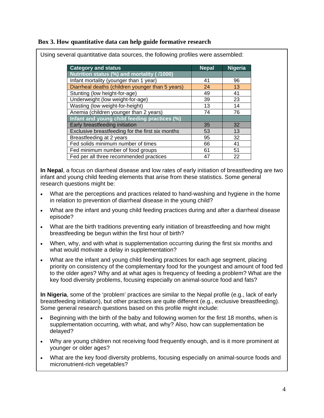### **Box 3. How quantitative data can help guide formative research**

| <b>Category and status</b>                       | <b>Nepal</b> | <b>Nigeria</b> |
|--------------------------------------------------|--------------|----------------|
| Nutrition status (%) and mortality (/1000)       |              |                |
| Infant mortality (younger than 1 year)           | 41           | 96             |
| Diarrheal deaths (children younger than 5 years) | 24           | 13             |
| Stunting (low height-for-age)                    | 49           | 41             |
| Underweight (low weight-for-age)                 | 39           | 23             |
| Wasting (low weight-for-height)                  | 13           | 14             |
| Anemia (children younger than 2 years)           | 74           | 76             |
| Infant and young child feeding practices (%)     |              |                |
| Early breastfeeding initiation                   | 35           | 32             |
| Exclusive breastfeeding for the first six months | 53           | 13             |
| Breastfeeding at 2 years                         | 95           | 32             |
| Fed solids minimum number of times               | 66           | 41             |
| Fed minimum number of food groups                | 61           | 51             |
| Fed per all three recommended practices          | 47           | 22             |

Using several quantitative data sources, the following profiles were assembled:

**In Nepal**, a focus on diarrheal disease and low rates of early initiation of breastfeeding are two infant and young child feeding elements that arise from these statistics. Some general research questions might be:

- What are the perceptions and practices related to hand-washing and hygiene in the home in relation to prevention of diarrheal disease in the young child?
- What are the infant and young child feeding practices during and after a diarrheal disease episode?
- What are the birth traditions preventing early initiation of breastfeeding and how might breastfeeding be begun within the first hour of birth?
- When, why, and with what is supplementation occurring during the first six months and what would motivate a delay in supplementation?
- What are the infant and young child feeding practices for each age segment, placing priority on consistency of the complementary food for the youngest and amount of food fed to the older ages? Why and at what ages is frequency of feeding a problem? What are the key food diversity problems, focusing especially on animal-source food and fats?

**In Nigeria**, some of the 'problem' practices are similar to the Nepal profile (e.g., lack of early breastfeeding initiation), but other practices are quite different (e.g., exclusive breastfeeding). Some general research questions based on this profile might include:

- Beginning with the birth of the baby and following women for the first 18 months, when is supplementation occurring, with what, and why? Also, how can supplementation be delayed?
- Why are young children not receiving food frequently enough, and is it more prominent at younger or older ages?
- What are the key food diversity problems, focusing especially on animal-source foods and micronutrient-rich vegetables?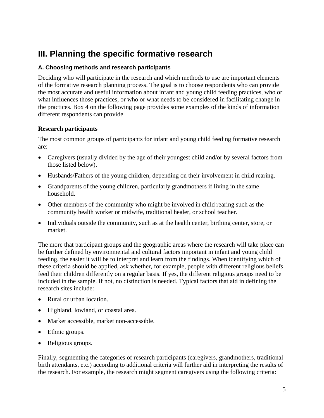## **III. Planning the specific formative research**

### **A. Choosing methods and research participants**

Deciding who will participate in the research and which methods to use are important elements of the formative research planning process. The goal is to choose respondents who can provide the most accurate and useful information about infant and young child feeding practices, who or what influences those practices, or who or what needs to be considered in facilitating change in the practices. Box 4 on the following page provides some examples of the kinds of information different respondents can provide.

### **Research participants**

The most common groups of participants for infant and young child feeding formative research are:

- Caregivers (usually divided by the age of their youngest child and/or by several factors from those listed below).
- Husbands/Fathers of the young children, depending on their involvement in child rearing.
- Grandparents of the young children, particularly grandmothers if living in the same household.
- Other members of the community who might be involved in child rearing such as the community health worker or midwife, traditional healer, or school teacher.
- Individuals outside the community, such as at the health center, birthing center, store, or market.

The more that participant groups and the geographic areas where the research will take place can be further defined by environmental and cultural factors important in infant and young child feeding, the easier it will be to interpret and learn from the findings. When identifying which of these criteria should be applied, ask whether, for example, people with different religious beliefs feed their children differently on a regular basis. If yes, the different religious groups need to be included in the sample. If not, no distinction is needed. Typical factors that aid in defining the research sites include:

- Rural or urban location.
- Highland, lowland, or coastal area.
- Market accessible, market non-accessible.
- Ethnic groups.
- Religious groups.

Finally, segmenting the categories of research participants (caregivers, grandmothers, traditional birth attendants, etc.) according to additional criteria will further aid in interpreting the results of the research. For example, the research might segment caregivers using the following criteria: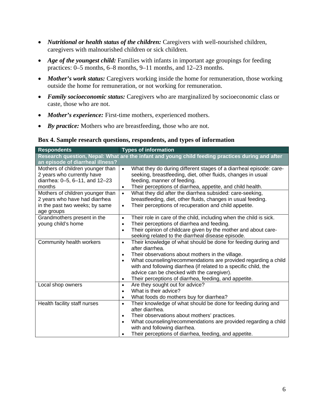- *Nutritional or health status of the children:* Caregivers with well-nourished children, caregivers with malnourished children or sick children.
- *Age of the youngest child:* Families with infants in important age groupings for feeding practices: 0–5 months, 6–8 months, 9–11 months, and 12–23 months.
- **Mother's work status:** Caregivers working inside the home for remuneration, those working outside the home for remuneration, or not working for remuneration.
- *Family socioeconomic status:* Caregivers who are marginalized by socioeconomic class or caste, those who are not.
- *Mother's experience:* First-time mothers, experienced mothers.
- *By practice:* Mothers who are breastfeeding, those who are not.

#### **Box 4. Sample research questions, respondents, and types of information**

| <b>Respondents</b>                                                                               | <b>Types of information</b>                                                     |  |  |  |  |
|--------------------------------------------------------------------------------------------------|---------------------------------------------------------------------------------|--|--|--|--|
| Research question, Nepal: What are the infant and young child feeding practices during and after |                                                                                 |  |  |  |  |
| an episode of diarrheal illness?                                                                 |                                                                                 |  |  |  |  |
| Mothers of children younger than                                                                 | What they do during different stages of a diarrheal episode: care-<br>$\bullet$ |  |  |  |  |
| 2 years who currently have                                                                       | seeking, breastfeeding, diet, other fluids, changes in usual                    |  |  |  |  |
| diarrhea: 0-5, 6-11, and 12-23                                                                   | feeding, manner of feeding.                                                     |  |  |  |  |
| months                                                                                           | Their perceptions of diarrhea, appetite, and child health.<br>$\bullet$         |  |  |  |  |
| Mothers of children younger than                                                                 | What they did after the diarrhea subsided: care-seeking,<br>$\bullet$           |  |  |  |  |
| 2 years who have had diarrhea                                                                    | breastfeeding, diet, other fluids, changes in usual feeding.                    |  |  |  |  |
| in the past two weeks; by same                                                                   | Their perceptions of recuperation and child appetite.<br>$\bullet$              |  |  |  |  |
| age groups                                                                                       |                                                                                 |  |  |  |  |
| Grandmothers present in the                                                                      | Their role in care of the child, including when the child is sick.<br>$\bullet$ |  |  |  |  |
| young child's home                                                                               | Their perceptions of diarrhea and feeding.<br>$\bullet$                         |  |  |  |  |
|                                                                                                  | Their opinion of childcare given by the mother and about care-<br>$\bullet$     |  |  |  |  |
|                                                                                                  | seeking related to the diarrheal disease episode.                               |  |  |  |  |
| Community health workers                                                                         | Their knowledge of what should be done for feeding during and<br>$\bullet$      |  |  |  |  |
|                                                                                                  | after diarrhea.                                                                 |  |  |  |  |
|                                                                                                  | Their observations about mothers in the village.<br>$\bullet$                   |  |  |  |  |
|                                                                                                  | What counseling/recommendations are provided regarding a child<br>$\bullet$     |  |  |  |  |
|                                                                                                  | with and following diarrhea (if related to a specific child, the                |  |  |  |  |
|                                                                                                  | advice can be checked with the caregiver).                                      |  |  |  |  |
|                                                                                                  | Their perceptions of diarrhea, feeding, and appetite.<br>$\bullet$              |  |  |  |  |
| Local shop owners                                                                                | Are they sought out for advice?<br>$\bullet$                                    |  |  |  |  |
|                                                                                                  | What is their advice?<br>$\bullet$                                              |  |  |  |  |
|                                                                                                  | What foods do mothers buy for diarrhea?<br>$\bullet$                            |  |  |  |  |
| Health facility staff nurses                                                                     | Their knowledge of what should be done for feeding during and<br>$\bullet$      |  |  |  |  |
|                                                                                                  | after diarrhea.                                                                 |  |  |  |  |
|                                                                                                  | Their observations about mothers' practices.<br>$\bullet$                       |  |  |  |  |
|                                                                                                  | What counseling/recommendations are provided regarding a child<br>$\bullet$     |  |  |  |  |
|                                                                                                  | with and following diarrhea.                                                    |  |  |  |  |
|                                                                                                  | Their perceptions of diarrhea, feeding, and appetite.<br>$\bullet$              |  |  |  |  |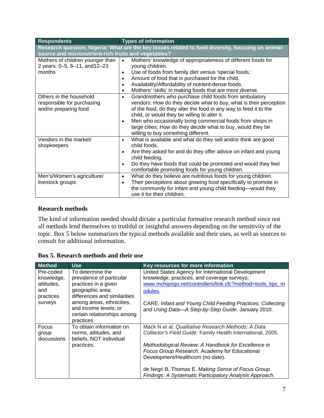| <b>Respondents</b>                                                                                 | <b>Types of information</b>                                                                                                                                                                                                                                 |  |  |  |
|----------------------------------------------------------------------------------------------------|-------------------------------------------------------------------------------------------------------------------------------------------------------------------------------------------------------------------------------------------------------------|--|--|--|
| Research question, Nigeria: What are the key issues related to food diversity, focusing on animal- |                                                                                                                                                                                                                                                             |  |  |  |
| source and micronutrient-rich fruits and vegetables?                                               |                                                                                                                                                                                                                                                             |  |  |  |
| Mothers of children younger than<br>2 years: 0-5, 6-11, and12-23                                   | Mothers' knowledge of appropriateness of different foods for<br>$\bullet$<br>young children.                                                                                                                                                                |  |  |  |
| months                                                                                             | Use of foods from family diet versus 'special foods.'<br>$\bullet$                                                                                                                                                                                          |  |  |  |
|                                                                                                    | Amount of food that is purchased for the child.<br>$\bullet$                                                                                                                                                                                                |  |  |  |
|                                                                                                    | Availability/Affordability of nutrient-dense foods.<br>$\bullet$                                                                                                                                                                                            |  |  |  |
|                                                                                                    | Mothers' 'skills' in making foods that are more diverse.<br>$\bullet$                                                                                                                                                                                       |  |  |  |
| Others in the household<br>responsible for purchasing<br>and/or preparing food                     | Grandmothers who purchase child foods from ambulatory<br>$\bullet$<br>vendors: How do they decide what to buy, what is their perception<br>of the food, do they alter the food in any way to feed it to the<br>child, or would they be willing to alter it. |  |  |  |
|                                                                                                    | Men who occasionally bring commercial foods from shops in<br>$\bullet$<br>large cities: How do they decide what to buy, would they be<br>willing to buy something different.                                                                                |  |  |  |
| Vendors in the market/                                                                             | What is available and what do they sell and/or think are good<br>$\bullet$                                                                                                                                                                                  |  |  |  |
| shopkeepers                                                                                        | child foods.                                                                                                                                                                                                                                                |  |  |  |
|                                                                                                    | Are they asked for and do they offer advice on infant and young<br>$\bullet$<br>child feeding.                                                                                                                                                              |  |  |  |
|                                                                                                    | Do they have foods that could be promoted and would they feel<br>$\bullet$<br>comfortable promoting foods for young children.                                                                                                                               |  |  |  |
| Men's/Women's agriculture/                                                                         | What do they believe are nutritious foods for young children.<br>$\bullet$                                                                                                                                                                                  |  |  |  |
| livestock groups                                                                                   | Their perceptions about growing food specifically to promote in<br>$\bullet$                                                                                                                                                                                |  |  |  |
|                                                                                                    | the community for infant and young child feeding-would they<br>use it for their children.                                                                                                                                                                   |  |  |  |

### **Research methods**

The kind of information needed should dictate a particular formative research method since not all methods lend themselves to truthful or insightful answers depending on the sensitivity of the topic. Box 5 below summarizes the typical methods available and their uses, as well as sources to consult for additional information.

| <b>Method</b> | <b>Use</b>                   | Key resources for more information                                |
|---------------|------------------------------|-------------------------------------------------------------------|
| Pre-coded     | To determine the             | United States Agency for International Development                |
| knowledge,    | prevalence of particular     | knowledge, practices, and coverage surveys:                       |
| attitudes,    | practices in a given         | www.mchipngo.net/controllers/link.cfc?method=tools_kpc_m          |
| and           | geographic area;             | odules.                                                           |
| practices     | differences and similarities |                                                                   |
| surveys       | among areas, ethnicities,    | <b>CARE. Infant and Young Child Feeding Practices: Collecting</b> |
|               | and income levels; or        | and Using Data-A Step-by-Step Guide. January 2010.                |
|               | certain relationships among  |                                                                   |
|               | practices.                   |                                                                   |
| Focus         | To obtain information on     | Mack N et al. Qualitative Research Methods: A Data                |
| group         | norms, attitudes, and        | Collector's Field Guide. Family Health International, 2005.       |
| discussions   | beliefs, NOT individual      |                                                                   |
|               | practices.                   | Methodological Review: A Handbook for Excellence in               |
|               |                              | Focus Group Research. Academy for Educational                     |
|               |                              | Development/Healthcom (no date).                                  |
|               |                              |                                                                   |
|               |                              | de Negri B, Thomas E. Making Sense of Focus Group                 |
|               |                              | Findings: A Systematic Participatory Analysis Approach.           |

### **Box 5. Research methods and their use**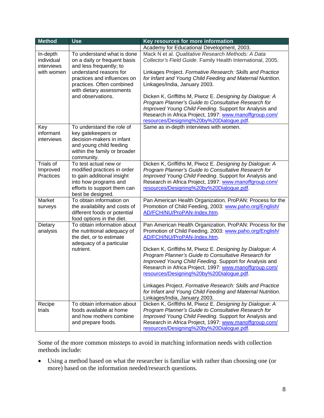| <b>Method</b>            | <b>Use</b>                                                    | Key resources for more information                                                                               |
|--------------------------|---------------------------------------------------------------|------------------------------------------------------------------------------------------------------------------|
|                          |                                                               | Academy for Educational Development, 2003.                                                                       |
| In-depth                 | To understand what is done                                    | Mack N et al. Qualitative Research Methods: A Data                                                               |
| individual<br>interviews | on a daily or frequent basis<br>and less frequently; to       | Collector's Field Guide. Family Health International, 2005.                                                      |
| with women               | understand reasons for                                        | Linkages Project. Formative Research: Skills and Practice                                                        |
|                          | practices and influences on<br>practices. Often combined      | for Infant and Young Child Feeding and Maternal Nutrition.<br>Linkages/India, January 2003.                      |
|                          | with dietary assessments                                      |                                                                                                                  |
|                          | and observations.                                             | Dicken K, Griffiths M, Piwoz E. Designing by Dialogue: A                                                         |
|                          |                                                               | Program Planner's Guide to Consultative Research for<br>Improved Young Child Feeding. Support for Analysis and   |
|                          |                                                               | Research in Africa Project, 1997: www.manoffgroup.com/                                                           |
|                          |                                                               | resources/Designing%20by%20Dialogue.pdf.                                                                         |
| Key<br>informant         | To understand the role of                                     | Same as in-depth interviews with women.                                                                          |
| interviews               | key gatekeepers or<br>decision-makers in infant               |                                                                                                                  |
|                          | and young child feeding                                       |                                                                                                                  |
|                          | within the family or broader                                  |                                                                                                                  |
| Trials of                | community.<br>To test actual new or                           | Dicken K, Griffiths M, Piwoz E. Designing by Dialogue: A                                                         |
| Improved                 | modified practices in order                                   | Program Planner's Guide to Consultative Research for                                                             |
| <b>Practices</b>         | to gain additional insight                                    | Improved Young Child Feeding. Support for Analysis and                                                           |
|                          | into how programs and<br>efforts to support them can          | Research in Africa Project, 1997: www.manoffgroup.com/<br>resources/Designing%20by%20Dialogue.pdf                |
|                          | best be designed.                                             |                                                                                                                  |
| Market                   | To obtain information on                                      | Pan American Health Organization. ProPAN: Process for the                                                        |
| surveys                  | the availability and costs of<br>different foods or potential | Promotion of Child Feeding, 2003: www.paho.org/English/<br>AD/FCH/NU/ProPAN-Index.htm.                           |
|                          | food options in the diet.                                     |                                                                                                                  |
| Dietary                  | To obtain information about                                   | Pan American Health Organization. ProPAN: Process for the                                                        |
| analysis                 | the nutritional adequacy of<br>the diet, or to estimate       | Promotion of Child Feeding, 2003: www.paho.org/English/<br>AD/FCH/NU/ProPAN-Index.htm.                           |
|                          | adequacy of a particular                                      |                                                                                                                  |
|                          | nutrient.                                                     | Dicken K, Griffiths M, Piwoz E. Designing by Dialogue: A                                                         |
|                          |                                                               | Program Planner's Guide to Consultative Research for<br>Improved Young Child Feeding. Support for Analysis and   |
|                          |                                                               | Research in Africa Project, 1997: www.manoffgroup.com/                                                           |
|                          |                                                               | resources/Designing%20by%20Dialogue.pdf.                                                                         |
|                          |                                                               | Linkages Project. Formative Research: Skills and Practice                                                        |
|                          |                                                               | for Infant and Young Child Feeding and Maternal Nutrition.                                                       |
|                          |                                                               | Linkages/India, January 2003.                                                                                    |
| Recipe<br>trials         | To obtain information about<br>foods available at home        | Dicken K, Griffiths M, Piwoz E. Designing by Dialogue: A<br>Program Planner's Guide to Consultative Research for |
|                          | and how mothers combine                                       | Improved Young Child Feeding. Support for Analysis and                                                           |
|                          | and prepare foods.                                            | Research in Africa Project, 1997: www.manoffgroup.com/                                                           |
|                          |                                                               | resources/Designing%20by%20Dialogue.pdf.                                                                         |

Some of the more common missteps to avoid in matching information needs with collection methods include:

 Using a method based on what the researcher is familiar with rather than choosing one (or more) based on the information needed/research questions.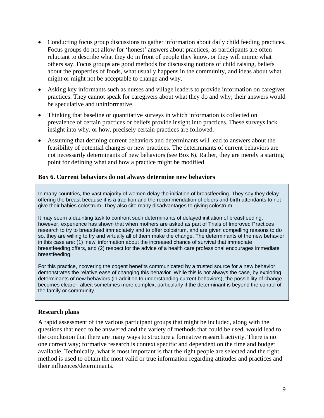- Conducting focus group discussions to gather information about daily child feeding practices. Focus groups do not allow for 'honest' answers about practices, as participants are often reluctant to describe what they do in front of people they know, or they will mimic what others say. Focus groups are good methods for discussing notions of child raising, beliefs about the properties of foods, what usually happens in the community, and ideas about what might or might not be acceptable to change and why.
- Asking key informants such as nurses and village leaders to provide information on caregiver practices. They cannot speak for caregivers about what they do and why; their answers would be speculative and uninformative.
- Thinking that baseline or quantitative surveys in which information is collected on prevalence of certain practices or beliefs provide insight into practices. These surveys lack insight into why, or how, precisely certain practices are followed.
- Assuming that defining current behaviors and determinants will lead to answers about the feasibility of potential changes or new practices. The determinants of current behaviors are not necessarily determinants of new behaviors (see Box 6). Rather, they are merely a starting point for defining what and how a practice might be modified.

### **Box 6. Current behaviors do not always determine new behaviors**

In many countries, the vast majority of women delay the initiation of breastfeeding. They say they delay offering the breast because it is a tradition and the recommendation of elders and birth attendants to not give their babies colostrum. They also cite many disadvantages to giving colostrum.

It may seem a daunting task to confront such determinants of delayed initiation of breastfeeding; however, experience has shown that when mothers are asked as part of Trials of Improved Practices research to try to breastfeed immediately and to offer colostrum, and are given compelling reasons to do so, they are willing to try and virtually all of them make the change. The determinants of the new behavior in this case are: (1) 'new' information about the increased chance of survival that immediate breastfeeding offers, and (2) respect for the advice of a health care professional encourages immediate breastfeeding.

For this practice, ncovering the cogent benefits communicated by a trusted source for a new behavior demonstrates the relative ease of changing this behavior. While this is not always the case, by exploring determinants of new behaviors (in addition to understanding current behaviors), the possibility of change becomes clearer, albeit sometimes more complex, particularly if the determinant is beyond the control of the family or community.

### **Research plans**

A rapid assessment of the various participant groups that might be included, along with the questions that need to be answered and the variety of methods that could be used, would lead to the conclusion that there are many ways to structure a formative research activity. There is no one correct way; formative research is context specific and dependent on the time and budget available. Technically, what is most important is that the right people are selected and the right method is used to obtain the most valid or true information regarding attitudes and practices and their influences/determinants.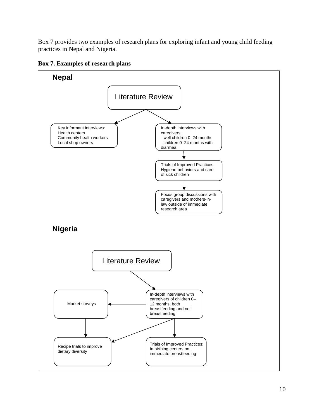Box 7 provides two examples of research plans for exploring infant and young child feeding practices in Nepal and Nigeria.



**Box 7. Examples of research plans**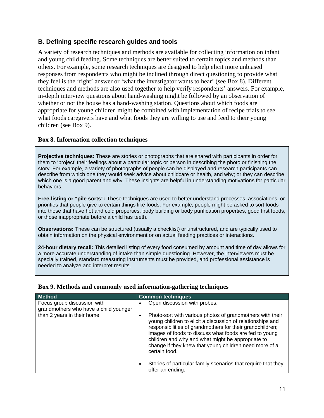### **B. Defining specific research guides and tools**

A variety of research techniques and methods are available for collecting information on infant and young child feeding. Some techniques are better suited to certain topics and methods than others. For example, some research techniques are designed to help elicit more unbiased responses from respondents who might be inclined through direct questioning to provide what they feel is the 'right' answer or 'what the investigator wants to hear' (see Box 8). Different techniques and methods are also used together to help verify respondents' answers. For example, in-depth interview questions about hand-washing might be followed by an observation of whether or not the house has a hand-washing station. Questions about which foods are appropriate for young children might be combined with implementation of recipe trials to see what foods caregivers have and what foods they are willing to use and feed to their young children (see Box 9).

### **Box 8. Information collection techniques**

**Projective techniques:** These are stories or photographs that are shared with participants in order for them to 'project' their feelings about a particular topic or person in describing the photo or finishing the story. For example, a variety of photographs of people can be displayed and research participants can describe from which one they would seek advice about childcare or health, and why; or they can describe which one is a good parent and why. These insights are helpful in understanding motivations for particular behaviors.

**Free-listing or "pile sorts":** These techniques are used to better understand processes, associations, or priorities that people give to certain things like foods. For example, people might be asked to sort foods into those that have hot and cold properties, body building or body purification properties, good first foods, or those inappropriate before a child has teeth.

**Observations:** These can be structured (usually a checklist) or unstructured, and are typically used to obtain information on the physical environment or on actual feeding practices or interactions.

**24-hour dietary recall:** This detailed listing of every food consumed by amount and time of day allows for a more accurate understanding of intake than simple questioning. However, the interviewers must be specially trained, standard measuring instruments must be provided, and professional assistance is needed to analyze and interpret results.

| <b>Method</b>                                                                                      |        | <b>Common techniques</b>                                                                                                                                                                                                                                                                                                                                                                                       |
|----------------------------------------------------------------------------------------------------|--------|----------------------------------------------------------------------------------------------------------------------------------------------------------------------------------------------------------------------------------------------------------------------------------------------------------------------------------------------------------------------------------------------------------------|
| Focus group discussion with<br>grandmothers who have a child younger<br>than 2 years in their home | ٠<br>٠ | Open discussion with probes.<br>Photo-sort with various photos of grandmothers with their<br>young children to elicit a discussion of relationships and<br>responsibilities of grandmothers for their grandchildren;<br>images of foods to discuss what foods are fed to young<br>children and why and what might be appropriate to<br>change if they knew that young children need more of a<br>certain food. |
|                                                                                                    | ٠      | Stories of particular family scenarios that require that they<br>offer an ending.                                                                                                                                                                                                                                                                                                                              |

### **Box 9. Methods and commonly used information-gathering techniques**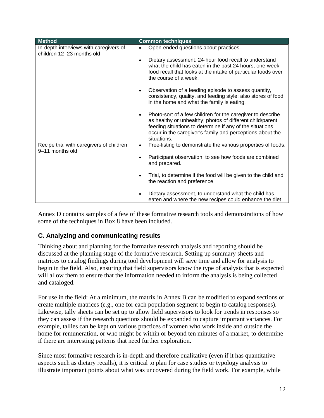| <b>Method</b>                                                       | <b>Common techniques</b>                                                                                                                                                                                                                                        |  |
|---------------------------------------------------------------------|-----------------------------------------------------------------------------------------------------------------------------------------------------------------------------------------------------------------------------------------------------------------|--|
| In-depth interviews with caregivers of<br>children 12-23 months old | Open-ended questions about practices.                                                                                                                                                                                                                           |  |
|                                                                     | Dietary assessment: 24-hour food recall to understand<br>what the child has eaten in the past 24 hours; one-week<br>food recall that looks at the intake of particular foods over<br>the course of a week.                                                      |  |
|                                                                     | Observation of a feeding episode to assess quantity,<br>consistency, quality, and feeding style; also stores of food<br>in the home and what the family is eating.                                                                                              |  |
|                                                                     | Photo-sort of a few children for the caregiver to describe<br>as healthy or unhealthy; photos of different child/parent<br>feeding situations to determine if any of the situations<br>occur in the caregiver's family and perceptions about the<br>situations. |  |
| Recipe trial with caregivers of children<br>9-11 months old         | Free-listing to demonstrate the various properties of foods.<br>$\bullet$                                                                                                                                                                                       |  |
|                                                                     | Participant observation, to see how foods are combined<br>and prepared.                                                                                                                                                                                         |  |
|                                                                     | Trial, to determine if the food will be given to the child and<br>the reaction and preference.                                                                                                                                                                  |  |
|                                                                     | Dietary assessment, to understand what the child has<br>eaten and where the new recipes could enhance the diet.                                                                                                                                                 |  |

Annex D contains samples of a few of these formative research tools and demonstrations of how some of the techniques in Box 8 have been included.

### **C. Analyzing and communicating results**

Thinking about and planning for the formative research analysis and reporting should be discussed at the planning stage of the formative research. Setting up summary sheets and matrices to catalog findings during tool development will save time and allow for analysis to begin in the field. Also, ensuring that field supervisors know the type of analysis that is expected will allow them to ensure that the information needed to inform the analysis is being collected and cataloged.

For use in the field: At a minimum, the matrix in Annex B can be modified to expand sections or create multiple matrices (e.g., one for each population segment to begin to catalog responses). Likewise, tally sheets can be set up to allow field supervisors to look for trends in responses so they can assess if the research questions should be expanded to capture important variances. For example, tallies can be kept on various practices of women who work inside and outside the home for remuneration, or who might be within or beyond ten minutes of a market, to determine if there are interesting patterns that need further exploration.

Since most formative research is in-depth and therefore qualitative (even if it has quantitative aspects such as dietary recalls), it is critical to plan for case studies or typology analysis to illustrate important points about what was uncovered during the field work. For example, while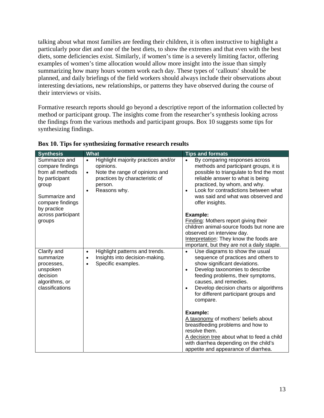talking about what most families are feeding their children, it is often instructive to highlight a particularly poor diet and one of the best diets, to show the extremes and that even with the best diets, some deficiencies exist. Similarly, if women's time is a severely limiting factor, offering examples of women's time allocation would allow more insight into the issue than simply summarizing how many hours women work each day. These types of 'callouts' should be planned, and daily briefings of the field workers should always include their observations about interesting deviations, new relationships, or patterns they have observed during the course of their interviews or visits.

Formative research reports should go beyond a descriptive report of the information collected by method or participant group. The insights come from the researcher's synthesis looking across the findings from the various methods and participant groups. Box 10 suggests some tips for synthesizing findings.

| <b>Synthesis</b>                                                                                                                     | <b>What</b>                                                                                                                                                                            | <b>Tips and formats</b>                                                                                                                                                                                                                                                                                                                   |
|--------------------------------------------------------------------------------------------------------------------------------------|----------------------------------------------------------------------------------------------------------------------------------------------------------------------------------------|-------------------------------------------------------------------------------------------------------------------------------------------------------------------------------------------------------------------------------------------------------------------------------------------------------------------------------------------|
| Summarize and<br>compare findings<br>from all methods<br>by participant<br>group<br>Summarize and<br>compare findings<br>by practice | Highlight majority practices and/or<br>$\bullet$<br>opinions.<br>Note the range of opinions and<br>$\bullet$<br>practices by characteristic of<br>person.<br>Reasons why.<br>$\bullet$ | By comparing responses across<br>$\bullet$<br>methods and participant groups, it is<br>possible to triangulate to find the most<br>reliable answer to what is being<br>practiced, by whom, and why.<br>Look for contradictions between what<br>$\bullet$<br>was said and what was observed and<br>offer insights.                         |
| across participant<br>groups                                                                                                         |                                                                                                                                                                                        | <b>Example:</b><br><b>Finding: Mothers report giving their</b><br>children animal-source foods but none are<br>observed on interview day.<br>Interpretation: They know the foods are<br>important, but they are not a daily staple.                                                                                                       |
| Clarify and<br>summarize<br>processes,<br>unspoken<br>decision<br>algorithms, or<br>classifications                                  | Highlight patterns and trends.<br>$\bullet$<br>Insights into decision-making.<br>$\bullet$<br>Specific examples.<br>$\bullet$                                                          | Use diagrams to show the usual<br>$\bullet$<br>sequence of practices and others to<br>show significant deviations.<br>Develop taxonomies to describe<br>$\bullet$<br>feeding problems, their symptoms,<br>causes, and remedies.<br>Develop decision charts or algorithms<br>$\bullet$<br>for different participant groups and<br>compare. |
|                                                                                                                                      |                                                                                                                                                                                        | <b>Example:</b><br>A taxonomy of mothers' beliefs about<br>breastfeeding problems and how to<br>resolve them.<br>A decision tree about what to feed a child<br>with diarrhea depending on the child's<br>appetite and appearance of diarrhea.                                                                                             |

### **Box 10. Tips for synthesizing formative research results**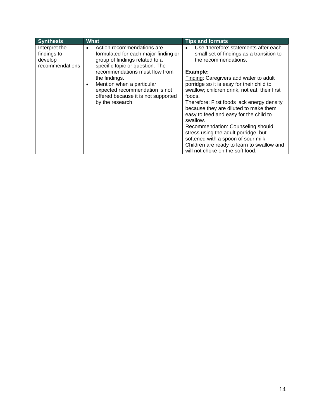| <b>Synthesis</b>                                           | <b>What</b>                                                                                                                                          | <b>Tips and formats</b>                                                                                                |
|------------------------------------------------------------|------------------------------------------------------------------------------------------------------------------------------------------------------|------------------------------------------------------------------------------------------------------------------------|
| Interpret the<br>findings to<br>develop<br>recommendations | Action recommendations are<br>$\bullet$<br>formulated for each major finding or<br>group of findings related to a<br>specific topic or question. The | Use 'therefore' statements after each<br>$\bullet$<br>small set of findings as a transition to<br>the recommendations. |
|                                                            | recommendations must flow from<br>the findings.<br>Mention when a particular,<br>$\bullet$                                                           | Example:<br>Finding: Caregivers add water to adult<br>porridge so it is easy for their child to                        |
|                                                            | expected recommendation is not<br>offered because it is not supported<br>by the research.                                                            | swallow; children drink, not eat, their first<br>foods.<br>Therefore: First foods lack energy density                  |
|                                                            |                                                                                                                                                      | because they are diluted to make them<br>easy to feed and easy for the child to<br>swallow.                            |
|                                                            |                                                                                                                                                      | Recommendation: Counseling should<br>stress using the adult porridge, but<br>softened with a spoon of sour milk.       |
|                                                            |                                                                                                                                                      | Children are ready to learn to swallow and<br>will not choke on the soft food.                                         |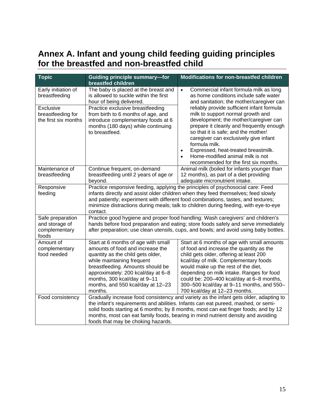### **Annex A. Infant and young child feeding guiding principles for the breastfed and non-breastfed child**

| <b>Topic</b>                                                                                   | <b>Guiding principle summary-for</b><br>breastfed children                                                                                                                                                                                                                                                                                                                                  | Modifications for non-breastfed children                                                                                                                                                                                                                                                                                                                                                                                                                                                                                                           |  |  |
|------------------------------------------------------------------------------------------------|---------------------------------------------------------------------------------------------------------------------------------------------------------------------------------------------------------------------------------------------------------------------------------------------------------------------------------------------------------------------------------------------|----------------------------------------------------------------------------------------------------------------------------------------------------------------------------------------------------------------------------------------------------------------------------------------------------------------------------------------------------------------------------------------------------------------------------------------------------------------------------------------------------------------------------------------------------|--|--|
| Early initiation of<br>breastfeeding<br>Exclusive<br>breastfeeding for<br>the first six months | The baby is placed at the breast and<br>is allowed to suckle within the first<br>hour of being delivered.<br>Practice exclusive breastfeeding<br>from birth to 6 months of age, and<br>introduce complementary foods at 6<br>months (180 days) while continuing<br>to breastfeed.                                                                                                           | Commercial infant formula milk as long<br>$\bullet$<br>as home conditions include safe water<br>and sanitation; the mother/caregiver can<br>reliably provide sufficient infant formula<br>milk to support normal growth and<br>development; the mother/caregiver can<br>prepare it cleanly and frequently enough<br>so that it is safe; and the mother/<br>caregiver can exclusively give infant<br>formula milk.<br>Expressed, heat-treated breastmilk.<br>$\bullet$<br>Home-modified animal milk is not<br>recommended for the first six months. |  |  |
| Maintenance of<br>breastfeeding                                                                | Continue frequent, on-demand<br>breastfeeding until 2 years of age or<br>beyond.                                                                                                                                                                                                                                                                                                            | Animal milk (boiled for infants younger than<br>12 months), as part of a diet providing<br>adequate micronutrient intake.                                                                                                                                                                                                                                                                                                                                                                                                                          |  |  |
| Responsive<br>feeding                                                                          | Practice responsive feeding, applying the principles of psychosocial care: Feed<br>infants directly and assist older children when they feed themselves; feed slowly<br>and patiently; experiment with different food combinations, tastes, and textures;<br>minimize distractions during meals; talk to children during feeding, with eye-to-eye<br>contact.                               |                                                                                                                                                                                                                                                                                                                                                                                                                                                                                                                                                    |  |  |
| Safe preparation<br>and storage of<br>complementary<br>foods                                   | Practice good hygiene and proper food handling: Wash caregivers' and children's<br>hands before food preparation and eating; store foods safely and serve immediately<br>after preparation; use clean utensils, cups, and bowls; and avoid using baby bottles.                                                                                                                              |                                                                                                                                                                                                                                                                                                                                                                                                                                                                                                                                                    |  |  |
| Amount of<br>complementary<br>food needed                                                      | Start at 6 months of age with small<br>amounts of food and increase the<br>quantity as the child gets older,<br>while maintaining frequent<br>breastfeeding. Amounts should be<br>approximately: 200 kcal/day at 6-8<br>months, 300 kcal/day at 9-11<br>months, and 550 kcal/day at 12-23<br>months.                                                                                        | Start at 6 months of age with small amounts<br>of food and increase the quantity as the<br>child gets older, offering at least 200<br>kcal/day of milk. Complementary foods<br>would make up the rest of the diet,<br>depending on milk intake. Ranges for food<br>could be: 200-400 kcal/day at 6-8 months,<br>300-500 kcal/day at 9-11 months, and 550-<br>700 kcal/day at 12-23 months.                                                                                                                                                         |  |  |
| Food consistency                                                                               | Gradually increase food consistency and variety as the infant gets older, adapting to<br>the infant's requirements and abilities. Infants can eat pureed, mashed, or semi-<br>solid foods starting at 6 months; by 8 months, most can eat finger foods; and by 12<br>months, most can eat family foods, bearing in mind nutrient density and avoiding<br>foods that may be choking hazards. |                                                                                                                                                                                                                                                                                                                                                                                                                                                                                                                                                    |  |  |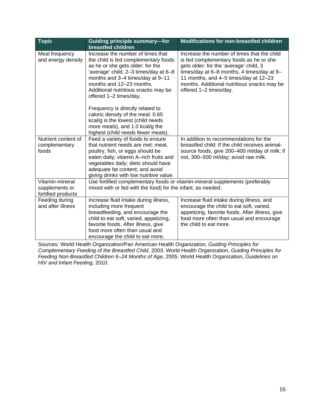| <b>Topic</b>                                            | <b>Guiding principle summary-for</b><br>breastfed children                                                                                                                                                                                                                              | <b>Modifications for non-breastfed children</b>                                                                                                                                                                                                                                                  |
|---------------------------------------------------------|-----------------------------------------------------------------------------------------------------------------------------------------------------------------------------------------------------------------------------------------------------------------------------------------|--------------------------------------------------------------------------------------------------------------------------------------------------------------------------------------------------------------------------------------------------------------------------------------------------|
| Meal frequency<br>and energy density                    | Increase the number of times that<br>the child is fed complementary foods<br>as he or she gets older: for the<br>'average' child, 2-3 times/day at 6-8<br>months and 3-4 times/day at 9-11<br>months and 12-23 months.<br>Additional nutritious snacks may be<br>offered 1-2 times/day. | Increase the number of times that the child<br>is fed complementary foods as he or she<br>gets older: for the 'average' child, 3<br>times/day at 6-8 months, 4 times/day at 9-<br>11 months, and 4-5 times/day at 12-23<br>months. Additional nutritious snacks may be<br>offered 1-2 times/day. |
|                                                         | Frequency is directly related to<br>caloric density of the meal: 0.65<br>kcal/g is the lowest (child needs<br>more meals), and 1.0 kcal/g the<br>highest (child needs fewer meals).                                                                                                     |                                                                                                                                                                                                                                                                                                  |
| Nutrient content of<br>complementary<br>foods           | Feed a variety of foods to ensure<br>that nutrient needs are met: meat,<br>poultry, fish, or eggs should be<br>eaten daily; vitamin A-rich fruits and<br>vegetables daily; diets should have<br>adequate fat content; and avoid<br>giving drinks with low nutritive value.              | In addition to recommendations for the<br>breastfed child: If the child receives animal-<br>source foods, give 200-400 ml/day of milk; if<br>not, 300-500 ml/day; avoid raw milk.                                                                                                                |
| Vitamin-mineral<br>supplements or<br>fortified products | mixed with or fed with the food) for the infant, as needed.                                                                                                                                                                                                                             | Use fortified complementary foods or vitamin-mineral supplements (preferably                                                                                                                                                                                                                     |
| Feeding during<br>and after illness                     | Increase fluid intake during illness,<br>including more frequent<br>breastfeeding, and encourage the<br>child to eat soft, varied, appetizing,<br>favorite foods. After illness, give<br>food more often than usual and<br>encourage the child to eat more.                             | Increase fluid intake during illness, and<br>encourage the child to eat soft, varied,<br>appetizing, favorite foods. After illness, give<br>food more often than usual and encourage<br>the child to eat more.                                                                                   |

Sources: World Health Organization/Pan American Health Organization, *Guiding Principles for Complementary Feeding of the Breastfed Child*, 2003. World Health Organization, *Guiding Principles for Feeding Non-Breastfed Children 6–24 Months of Age*, 2005. World Health Organization, *Guidelines on HIV and Infant Feeding*, 2010.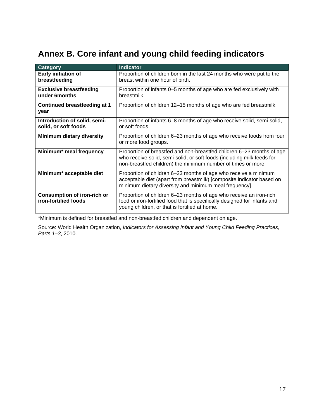# **Annex B. Core infant and young child feeding indicators**

| <b>Category</b>                                            | Indicator                                                                                                                                                                                                       |
|------------------------------------------------------------|-----------------------------------------------------------------------------------------------------------------------------------------------------------------------------------------------------------------|
| Early initiation of<br>breastfeeding                       | Proportion of children born in the last 24 months who were put to the<br>breast within one hour of birth.                                                                                                       |
| <b>Exclusive breastfeeding</b><br>under 6months            | Proportion of infants 0–5 months of age who are fed exclusively with<br>breastmilk.                                                                                                                             |
| Continued breastfeeding at 1<br>year                       | Proportion of children 12–15 months of age who are fed breastmilk.                                                                                                                                              |
| Introduction of solid, semi-<br>solid, or soft foods       | Proportion of infants 6-8 months of age who receive solid, semi-solid,<br>or soft foods.                                                                                                                        |
| <b>Minimum dietary diversity</b>                           | Proportion of children 6–23 months of age who receive foods from four<br>or more food groups.                                                                                                                   |
| Minimum* meal frequency                                    | Proportion of breastfed and non-breastfed children 6-23 months of age<br>who receive solid, semi-solid, or soft foods (including milk feeds for<br>non-breastfed children) the minimum number of times or more. |
| Minimum* acceptable diet                                   | Proportion of children 6–23 months of age who receive a minimum<br>acceptable diet (apart from breastmilk) [composite indicator based on<br>minimum dietary diversity and minimum meal frequency].              |
| <b>Consumption of iron-rich or</b><br>iron-fortified foods | Proportion of children 6-23 months of age who receive an iron-rich<br>food or iron-fortified food that is specifically designed for infants and<br>young children, or that is fortified at home.                |

\*Minimum is defined for breastfed and non-breastfed children and dependent on age.

Source: World Health Organization, *Indicators for Assessing Infant and Young Child Feeding Practices, Parts 1–3*, 2010.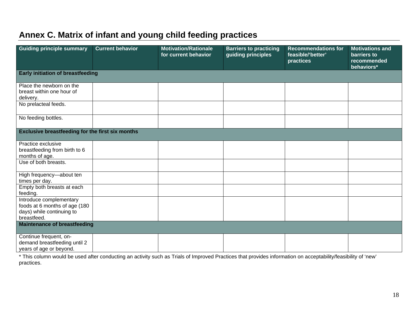# **Annex C. Matrix of infant and young child feeding practices**

| <b>Guiding principle summary</b>                                                                     | <b>Current behavior</b> | <b>Motivation/Rationale</b><br>for current behavior | <b>Barriers to practicing</b><br>guiding principles | <b>Recommendations for</b><br>feasible/'better'<br>practices | <b>Motivations and</b><br>barriers to<br>recommended<br>behaviors* |
|------------------------------------------------------------------------------------------------------|-------------------------|-----------------------------------------------------|-----------------------------------------------------|--------------------------------------------------------------|--------------------------------------------------------------------|
| <b>Early initiation of breastfeeding</b>                                                             |                         |                                                     |                                                     |                                                              |                                                                    |
| Place the newborn on the<br>breast within one hour of<br>delivery.                                   |                         |                                                     |                                                     |                                                              |                                                                    |
| No prelacteal feeds.                                                                                 |                         |                                                     |                                                     |                                                              |                                                                    |
| No feeding bottles.                                                                                  |                         |                                                     |                                                     |                                                              |                                                                    |
| Exclusive breastfeeding for the first six months                                                     |                         |                                                     |                                                     |                                                              |                                                                    |
| Practice exclusive<br>breastfeeding from birth to 6<br>months of age.                                |                         |                                                     |                                                     |                                                              |                                                                    |
| Use of both breasts.                                                                                 |                         |                                                     |                                                     |                                                              |                                                                    |
| High frequency-about ten<br>times per day.                                                           |                         |                                                     |                                                     |                                                              |                                                                    |
| Empty both breasts at each<br>feeding.                                                               |                         |                                                     |                                                     |                                                              |                                                                    |
| Introduce complementary<br>foods at 6 months of age (180<br>days) while continuing to<br>breastfeed. |                         |                                                     |                                                     |                                                              |                                                                    |
| <b>Maintenance of breastfeeding</b>                                                                  |                         |                                                     |                                                     |                                                              |                                                                    |
| Continue frequent, on-<br>demand breastfeeding until 2<br>years of age or beyond.                    |                         |                                                     |                                                     |                                                              |                                                                    |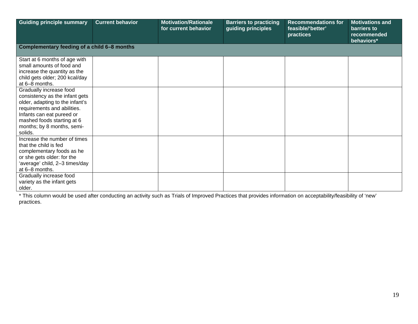| <b>Guiding principle summary</b>                                                                                                                                                                                                | <b>Current behavior</b> | <b>Motivation/Rationale</b><br>for current behavior | <b>Barriers to practicing</b><br>guiding principles | <b>Recommendations for</b><br>feasible/'better'<br>practices | <b>Motivations and</b><br>barriers to<br>recommended<br>behaviors* |
|---------------------------------------------------------------------------------------------------------------------------------------------------------------------------------------------------------------------------------|-------------------------|-----------------------------------------------------|-----------------------------------------------------|--------------------------------------------------------------|--------------------------------------------------------------------|
| Complementary feeding of a child 6-8 months                                                                                                                                                                                     |                         |                                                     |                                                     |                                                              |                                                                    |
| Start at 6 months of age with<br>small amounts of food and<br>increase the quantity as the<br>child gets older; 200 kcal/day<br>at 6-8 months.                                                                                  |                         |                                                     |                                                     |                                                              |                                                                    |
| Gradually increase food<br>consistency as the infant gets<br>older, adapting to the infant's<br>requirements and abilities.<br>Infants can eat pureed or<br>mashed foods starting at 6<br>months; by 8 months, semi-<br>solids. |                         |                                                     |                                                     |                                                              |                                                                    |
| Increase the number of times<br>that the child is fed<br>complementary foods as he<br>or she gets older: for the<br>'average' child, 2-3 times/day<br>at 6-8 months.                                                            |                         |                                                     |                                                     |                                                              |                                                                    |
| Gradually increase food<br>variety as the infant gets<br>older.                                                                                                                                                                 |                         |                                                     |                                                     |                                                              |                                                                    |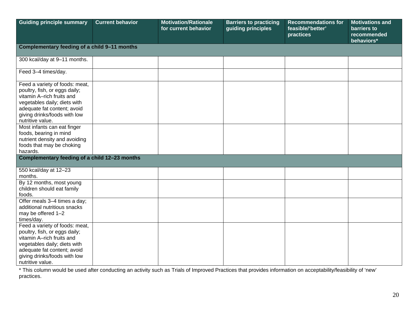| <b>Guiding principle summary</b>                                                                                                                                                                                | <b>Current behavior</b> | <b>Motivation/Rationale</b><br>for current behavior | <b>Barriers to practicing</b><br>guiding principles | <b>Recommendations for</b><br>feasible/'better'<br>practices | <b>Motivations and</b><br>barriers to<br>recommended<br>behaviors* |
|-----------------------------------------------------------------------------------------------------------------------------------------------------------------------------------------------------------------|-------------------------|-----------------------------------------------------|-----------------------------------------------------|--------------------------------------------------------------|--------------------------------------------------------------------|
| Complementary feeding of a child 9-11 months                                                                                                                                                                    |                         |                                                     |                                                     |                                                              |                                                                    |
| 300 kcal/day at 9-11 months.                                                                                                                                                                                    |                         |                                                     |                                                     |                                                              |                                                                    |
| Feed 3-4 times/day.                                                                                                                                                                                             |                         |                                                     |                                                     |                                                              |                                                                    |
| Feed a variety of foods: meat,<br>poultry, fish, or eggs daily;<br>vitamin A-rich fruits and<br>vegetables daily; diets with<br>adequate fat content; avoid<br>giving drinks/foods with low<br>nutritive value. |                         |                                                     |                                                     |                                                              |                                                                    |
| Most infants can eat finger<br>foods, bearing in mind<br>nutrient density and avoiding<br>foods that may be choking<br>hazards.                                                                                 |                         |                                                     |                                                     |                                                              |                                                                    |
| Complementary feeding of a child 12-23 months                                                                                                                                                                   |                         |                                                     |                                                     |                                                              |                                                                    |
| $\overline{550}$ kcal/day at 12-23<br>months.                                                                                                                                                                   |                         |                                                     |                                                     |                                                              |                                                                    |
| By 12 months, most young<br>children should eat family<br>foods.                                                                                                                                                |                         |                                                     |                                                     |                                                              |                                                                    |
| Offer meals 3-4 times a day;<br>additional nutritious snacks<br>may be offered 1-2<br>times/day.                                                                                                                |                         |                                                     |                                                     |                                                              |                                                                    |
| Feed a variety of foods: meat,<br>poultry, fish, or eggs daily;<br>vitamin A-rich fruits and<br>vegetables daily; diets with<br>adequate fat content; avoid<br>giving drinks/foods with low<br>nutritive value. |                         |                                                     |                                                     |                                                              |                                                                    |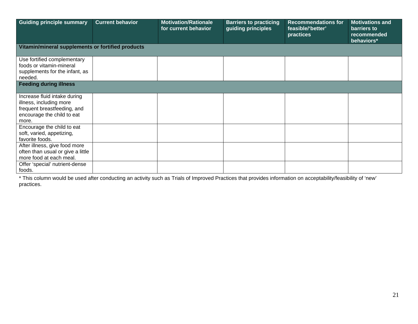| <b>Guiding principle summary</b>                                                                                              | <b>Current behavior</b> | <b>Motivation/Rationale</b><br>for current behavior | <b>Barriers to practicing</b><br>guiding principles | <b>Recommendations for</b><br>feasible/'better'<br>practices | <b>Motivations and</b><br>barriers to<br>recommended<br>behaviors* |
|-------------------------------------------------------------------------------------------------------------------------------|-------------------------|-----------------------------------------------------|-----------------------------------------------------|--------------------------------------------------------------|--------------------------------------------------------------------|
| Vitamin/mineral supplements or fortified products                                                                             |                         |                                                     |                                                     |                                                              |                                                                    |
| Use fortified complementary<br>foods or vitamin-mineral<br>supplements for the infant, as<br>needed.                          |                         |                                                     |                                                     |                                                              |                                                                    |
| <b>Feeding during illness</b>                                                                                                 |                         |                                                     |                                                     |                                                              |                                                                    |
| Increase fluid intake during<br>illness, including more<br>frequent breastfeeding, and<br>encourage the child to eat<br>more. |                         |                                                     |                                                     |                                                              |                                                                    |
| Encourage the child to eat<br>soft, varied, appetizing,<br>favorite foods.                                                    |                         |                                                     |                                                     |                                                              |                                                                    |
| After illness, give food more<br>often than usual or give a little<br>more food at each meal.                                 |                         |                                                     |                                                     |                                                              |                                                                    |
| Offer 'special' nutrient-dense<br>foods.                                                                                      |                         |                                                     |                                                     |                                                              |                                                                    |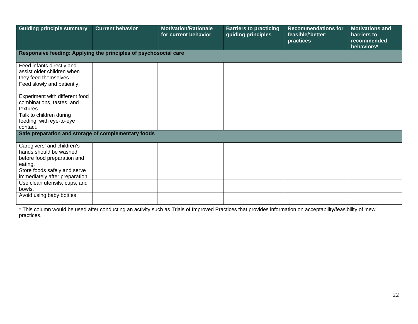| <b>Guiding principle summary</b>                                                               | <b>Current behavior</b> | <b>Motivation/Rationale</b><br>for current behavior | <b>Barriers to practicing</b><br>guiding principles | <b>Recommendations for</b><br>feasible/'better'<br>practices | <b>Motivations and</b><br>barriers to<br>recommended<br>behaviors* |
|------------------------------------------------------------------------------------------------|-------------------------|-----------------------------------------------------|-----------------------------------------------------|--------------------------------------------------------------|--------------------------------------------------------------------|
| Responsive feeding: Applying the principles of psychosocial care                               |                         |                                                     |                                                     |                                                              |                                                                    |
| Feed infants directly and<br>assist older children when<br>they feed themselves.               |                         |                                                     |                                                     |                                                              |                                                                    |
| Feed slowly and patiently.                                                                     |                         |                                                     |                                                     |                                                              |                                                                    |
| Experiment with different food<br>combinations, tastes, and<br>textures.                       |                         |                                                     |                                                     |                                                              |                                                                    |
| Talk to children during<br>feeding, with eye-to-eye<br>contact.                                |                         |                                                     |                                                     |                                                              |                                                                    |
| Safe preparation and storage of complementary foods                                            |                         |                                                     |                                                     |                                                              |                                                                    |
| Caregivers' and children's<br>hands should be washed<br>before food preparation and<br>eating. |                         |                                                     |                                                     |                                                              |                                                                    |
| Store foods safely and serve<br>immediately after preparation.                                 |                         |                                                     |                                                     |                                                              |                                                                    |
| Use clean utensils, cups, and<br>bowls.                                                        |                         |                                                     |                                                     |                                                              |                                                                    |
| Avoid using baby bottles.                                                                      |                         |                                                     |                                                     |                                                              |                                                                    |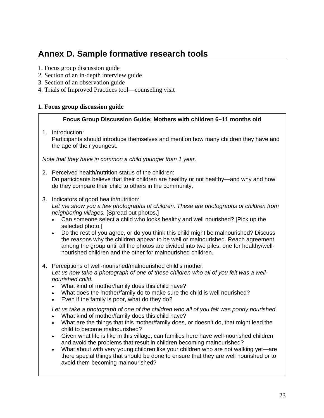## **Annex D. Sample formative research tools**

- 1. Focus group discussion guide
- 2. Section of an in-depth interview guide
- 3. Section of an observation guide
- 4. Trials of Improved Practices tool—counseling visit

### **1. Focus group discussion guide**

#### **Focus Group Discussion Guide: Mothers with children 6–11 months old**

1. Introduction:

Participants should introduce themselves and mention how many children they have and the age of their youngest.

*Note that they have in common a child younger than 1 year.* 

- 2. Perceived health/nutrition status of the children: Do participants believe that their children are healthy or not healthy—and why and how do they compare their child to others in the community.
- 3. Indicators of good health/nutrition: *Let me show you a few photographs of children. These are photographs of children from neighboring villages.* [Spread out photos.]
	- Can someone select a child who looks healthy and well nourished? [Pick up the selected photo.]
	- Do the rest of you agree, or do you think this child might be malnourished? Discuss the reasons why the children appear to be well or malnourished. Reach agreement among the group until all the photos are divided into two piles: one for healthy/wellnourished children and the other for malnourished children.
- 4. Perceptions of well-nourished/malnourished child's mother: *Let us now take a photograph of one of these children who all of you felt was a wellnourished child.*
	- What kind of mother/family does this child have?
	- What does the mother/family do to make sure the child is well nourished?
	- Even if the family is poor, what do they do?

Let us take a photograph of one of the children who all of you felt was poorly nourished.

- What kind of mother/family does this child have?
- What are the things that this mother/family does, or doesn't do, that might lead the child to become malnourished?
- Given what life is like in this village, can families here have well-nourished children and avoid the problems that result in children becoming malnourished?
- What about with very young children like your children who are not walking yet—are there special things that should be done to ensure that they are well nourished or to avoid them becoming malnourished?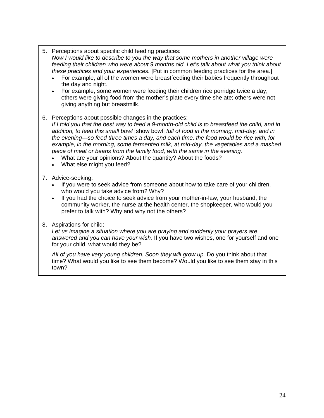5. Perceptions about specific child feeding practices:

*Now I would like to describe to you the way that some mothers in another village were feeding their children who were about 9 months old. Let's talk about what you think about these practices and your experiences.* [Put in common feeding practices for the area.]

- For example, all of the women were breastfeeding their babies frequently throughout the day and night.
- For example, some women were feeding their children rice porridge twice a day; others were giving food from the mother's plate every time she ate; others were not giving anything but breastmilk.

### 6. Perceptions about possible changes in the practices:

*If I told you that the best way to feed a 9-month-old child is to breastfeed the child, and in addition, to feed this small bowl* [show bowl] *full of food in the morning, mid-day, and in the evening—so feed three times a day, and each time, the food would be rice with, for example, in the morning, some fermented milk, at mid-day, the vegetables and a mashed piece of meat or beans from the family food, with the same in the evening.* 

- What are your opinions? About the quantity? About the foods?
- What else might you feed?
- 7. Advice-seeking:
	- If you were to seek advice from someone about how to take care of your children, who would you take advice from? Why?
	- If you had the choice to seek advice from your mother-in-law, your husband, the community worker, the nurse at the health center, the shopkeeper, who would you prefer to talk with? Why and why not the others?
- 8. Aspirations for child:

Let us imagine a situation where you are praying and suddenly your prayers are *answered and you can have your wish.* If you have two wishes, one for yourself and one for your child, what would they be?

*All of you have very young children. Soon they will grow up.* Do you think about that time? What would you like to see them become? Would you like to see them stay in this town?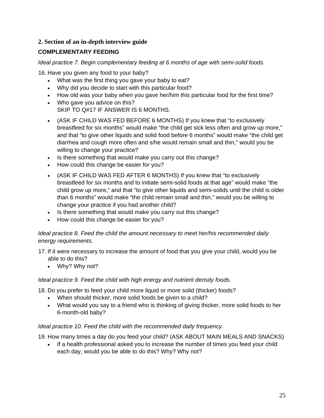### **2. Section of an in-depth interview guide**

### **COMPLEMENTARY FEEDING**

*Ideal practice 7. Begin complementary feeding at 6 months of age with semi-solid foods.*

16. Have you given any food to your baby?

- What was the first thing you gave your baby to eat?
- Why did you decide to start with this particular food?
- How old was your baby when you gave her/him this particular food for the first time?
- Who gave you advice on this? SKIP TO Q#17 IF ANSWER IS 6 MONTHS.
- (ASK IF CHILD WAS FED BEFORE 6 MONTHS) If you knew that "to exclusively breastfeed for six months" would make "the child get sick less often and grow up more," and that "to give other liquids and solid food before 6 months" would make "the child get diarrhea and cough more often and s/he would remain small and thin," would you be willing to change your practice?
- Is there something that would make you carry out this change?
- How could this change be easier for you?
- (ASK IF CHILD WAS FED AFTER 6 MONTHS) If you knew that "to exclusively breastfeed for six months and to initiate semi-solid foods at that age" would make "the child grow up more," and that "to give other liquids and semi-solids until the child is older than 6 months" would make "the child remain small and thin," would you be willing to change your practice if you had another child?
- Is there something that would make you carry out this change?
- How could this change be easier for you?

### *Ideal practice 8. Feed the child the amount necessary to meet her/his recommended daily energy requirements.*

- 17. If it were necessary to increase the amount of food that you give your child, would you be able to do this?
	- Why? Why not?

### *Ideal practice 9. Feed the child with high energy and nutrient density foods.*

18. Do you prefer to feed your child more liquid or more solid (thicker) foods?

- When should thicker, more solid foods be given to a child?
- What would you say to a friend who is thinking of giving thicker, more solid foods to her 6-month-old baby?

### *Ideal practice 10. Feed the child with the recommended daily frequency.*

19. How many times a day do you feed your child? (ASK ABOUT MAIN MEALS AND SNACKS)

 If a health professional asked you to increase the number of times you feed your child each day, would you be able to do this? Why? Why not?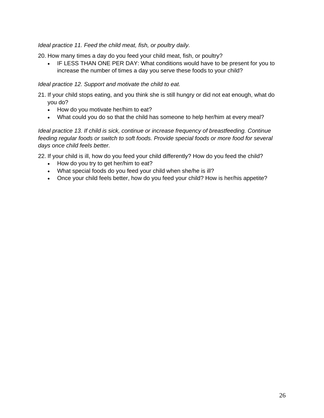### *Ideal practice 11. Feed the child meat, fish, or poultry daily.*

20. How many times a day do you feed your child meat, fish, or poultry?

• IF LESS THAN ONE PER DAY: What conditions would have to be present for you to increase the number of times a day you serve these foods to your child?

### *Ideal practice 12. Support and motivate the child to eat.*

- 21. If your child stops eating, and you think she is still hungry or did not eat enough, what do you do?
	- How do you motivate her/him to eat?
	- What could you do so that the child has someone to help her/him at every meal?

*Ideal practice 13. If child is sick, continue or increase frequency of breastfeeding. Continue feeding regular foods or switch to soft foods. Provide special foods or more food for several days once child feels better.* 

22. If your child is ill, how do you feed your child differently? How do you feed the child?

- How do you try to get her/him to eat?
- What special foods do you feed your child when she/he is ill?
- Once your child feels better, how do you feed your child? How is her/his appetite?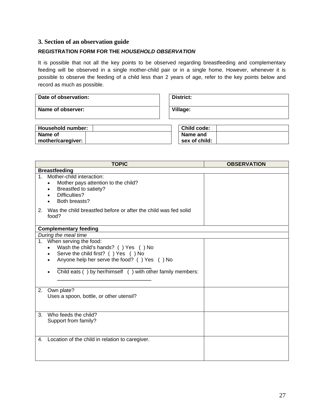### **3. Section of an observation guide**

#### **REGISTRATION FORM FOR THE** *HOUSEHOLD OBSERVATION*

It is possible that not all the key points to be observed regarding breastfeeding and complementary feeding will be observed in a single mother-child pair or in a single home. However, whenever it is possible to observe the feeding of a child less than 2 years of age, refer to the key points below and record as much as possible.

| Date of observation: | District: |
|----------------------|-----------|
| Name of observer:    | Village:  |

| Household number: | Child code:   |
|-------------------|---------------|
| Name of           | Name and      |
| mother/caregiver: | sex of child: |

| <b>TOPIC</b>                                                                                                                                                                                                                                 | <b>OBSERVATION</b> |
|----------------------------------------------------------------------------------------------------------------------------------------------------------------------------------------------------------------------------------------------|--------------------|
| <b>Breastfeeding</b>                                                                                                                                                                                                                         |                    |
| Mother-child interaction:<br>1 <sub>1</sub><br>Mother pays attention to the child?<br>$\bullet$<br>Breastfed to satiety?<br>Difficulties?<br>Both breasts?<br>Was the child breastfed before or after the child was fed solid<br>2.<br>food? |                    |
| <b>Complementary feeding</b>                                                                                                                                                                                                                 |                    |
| During the meal time                                                                                                                                                                                                                         |                    |
| 1. When serving the food:<br>Wash the child's hands? () Yes () No<br>Serve the child first? () Yes () No<br>Anyone help her serve the food? () Yes () No<br>Child eats () by her/himself () with other family members:                       |                    |
| 2.<br>Own plate?<br>Uses a spoon, bottle, or other utensil?                                                                                                                                                                                  |                    |
| Who feeds the child?<br>3.<br>Support from family?                                                                                                                                                                                           |                    |
| Location of the child in relation to caregiver.<br>4.                                                                                                                                                                                        |                    |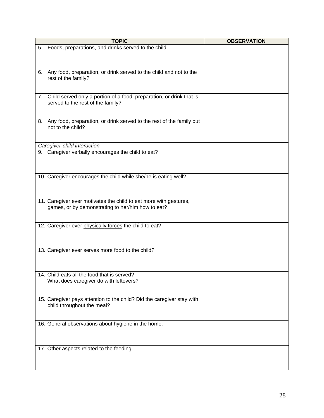| <b>TOPIC</b>                                                                                                           | <b>OBSERVATION</b> |
|------------------------------------------------------------------------------------------------------------------------|--------------------|
| Foods, preparations, and drinks served to the child.<br>5.                                                             |                    |
| Any food, preparation, or drink served to the child and not to the<br>6.                                               |                    |
| rest of the family?                                                                                                    |                    |
| 7. Child served only a portion of a food, preparation, or drink that is<br>served to the rest of the family?           |                    |
| Any food, preparation, or drink served to the rest of the family but<br>8.<br>not to the child?                        |                    |
| Caregiver-child interaction                                                                                            |                    |
| 9. Caregiver verbally encourages the child to eat?                                                                     |                    |
| 10. Caregiver encourages the child while she/he is eating well?                                                        |                    |
| 11. Caregiver ever motivates the child to eat more with gestures,<br>games, or by demonstrating to her/him how to eat? |                    |
| 12. Caregiver ever physically forces the child to eat?                                                                 |                    |
| 13. Caregiver ever serves more food to the child?                                                                      |                    |
| 14. Child eats all the food that is served?<br>What does caregiver do with leftovers?                                  |                    |
| 15. Caregiver pays attention to the child? Did the caregiver stay with<br>child throughout the meal?                   |                    |
| 16. General observations about hygiene in the home.                                                                    |                    |
| 17. Other aspects related to the feeding.                                                                              |                    |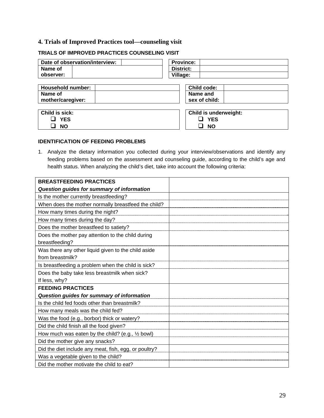### **4. Trials of Improved Practices tool—counseling visit**

### **TRIALS OF IMPROVED PRACTICES COUNSELING VISIT**

| Date of observation/interview: | <b>Province:</b>   |  |
|--------------------------------|--------------------|--|
| Name of                        | District:          |  |
| observer:                      | Village:           |  |
|                                |                    |  |
| Household number:              | <b>Child code:</b> |  |

| <b>NUUSCHUIU HUIHDEL.</b> | UTITU GUUT.           |  |
|---------------------------|-----------------------|--|
| Name of                   | Name and              |  |
| mother/caregiver:         | sex of child:         |  |
|                           |                       |  |
| <b>Child is sick:</b>     | Child is underweight: |  |
| П<br><b>YES</b>           | <b>YES</b>            |  |

**NO** 

#### **IDENTIFICATION OF FEEDING PROBLEMS**

**NO** 

1. Analyze the dietary information you collected during your interview/observations and identify any feeding problems based on the assessment and counseling guide, according to the child's age and health status. When analyzing the child's diet, take into account the following criteria:

| <b>BREASTFEEDING PRACTICES</b>                        |  |
|-------------------------------------------------------|--|
| Question guides for summary of information            |  |
| Is the mother currently breastfeeding?                |  |
| When does the mother normally breastfeed the child?   |  |
| How many times during the night?                      |  |
| How many times during the day?                        |  |
| Does the mother breastfeed to satiety?                |  |
| Does the mother pay attention to the child during     |  |
| breastfeeding?                                        |  |
| Was there any other liquid given to the child aside   |  |
| from breastmilk?                                      |  |
| Is breastfeeding a problem when the child is sick?    |  |
| Does the baby take less breastmilk when sick?         |  |
| If less, why?                                         |  |
| <b>FEEDING PRACTICES</b>                              |  |
| Question guides for summary of information            |  |
| Is the child fed foods other than breastmilk?         |  |
| How many meals was the child fed?                     |  |
| Was the food (e.g., borbor) thick or watery?          |  |
| Did the child finish all the food given?              |  |
| How much was eaten by the child? (e.g., 1/2 bowl)     |  |
| Did the mother give any snacks?                       |  |
| Did the diet include any meat, fish, egg, or poultry? |  |
| Was a vegetable given to the child?                   |  |
| Did the mother motivate the child to eat?             |  |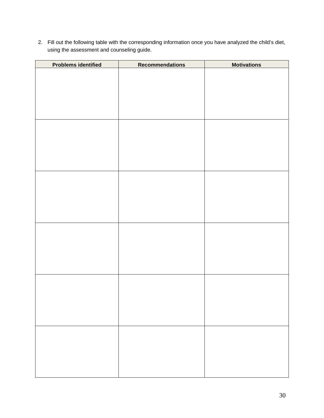2. Fill out the following table with the corresponding information once you have analyzed the child's diet, using the assessment and counseling guide.

| <b>Problems identified</b> | <b>Recommendations</b> | <b>Motivations</b> |
|----------------------------|------------------------|--------------------|
|                            |                        |                    |
|                            |                        |                    |
|                            |                        |                    |
|                            |                        |                    |
|                            |                        |                    |
|                            |                        |                    |
|                            |                        |                    |
|                            |                        |                    |
|                            |                        |                    |
|                            |                        |                    |
|                            |                        |                    |
|                            |                        |                    |
|                            |                        |                    |
|                            |                        |                    |
|                            |                        |                    |
|                            |                        |                    |
|                            |                        |                    |
|                            |                        |                    |
|                            |                        |                    |
|                            |                        |                    |
|                            |                        |                    |
|                            |                        |                    |
|                            |                        |                    |
|                            |                        |                    |
|                            |                        |                    |
|                            |                        |                    |
|                            |                        |                    |
|                            |                        |                    |
|                            |                        |                    |
|                            |                        |                    |
|                            |                        |                    |
|                            |                        |                    |
|                            |                        |                    |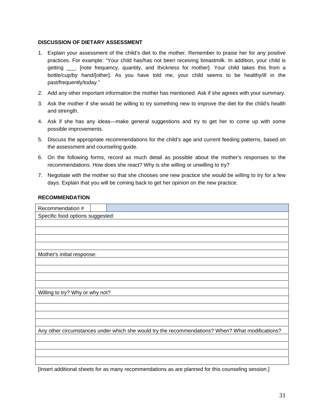#### **DISCUSSION OF DIETARY ASSESSMENT**

- 1. Explain your assessment of the child's diet to the mother. Remember to praise her for any positive practices. For example: "Your child has/has not been receiving breastmilk. In addition, your child is getting \_\_\_. [note frequency, quantity, and thickness for mother]. Your child takes this from a bottle/cup/by hand/[other]. As you have told me, your child seems to be healthy/ill in the past/frequently/today."
- 2. Add any other important information the mother has mentioned. Ask if she agrees with your summary.
- 3. Ask the mother if she would be willing to try something new to improve the diet for the child's health and strength.
- 4. Ask if she has any ideas—make general suggestions and try to get her to come up with some possible improvements.
- 5. Discuss the appropriate recommendations for the child's age and current feeding patterns, based on the assessment and counseling guide.
- 6. On the following forms, record as much detail as possible about the mother's responses to the recommendations. How does she react? Why is she willing or unwilling to try?
- 7. Negotiate with the mother so that she chooses one new practice she would be willing to try for a few days. Explain that you will be coming back to get her opinion on the new practice.

#### **RECOMMENDATION**

| Recommendation #                                                                                 |
|--------------------------------------------------------------------------------------------------|
| Specific food options suggested:                                                                 |
|                                                                                                  |
|                                                                                                  |
|                                                                                                  |
|                                                                                                  |
| Mother's initial response:                                                                       |
|                                                                                                  |
|                                                                                                  |
|                                                                                                  |
|                                                                                                  |
| Willing to try? Why or why not?                                                                  |
|                                                                                                  |
|                                                                                                  |
|                                                                                                  |
|                                                                                                  |
| Any other circumstances under which she would try the recommendations? When? What modifications? |
|                                                                                                  |
|                                                                                                  |
|                                                                                                  |
|                                                                                                  |

[Insert additional sheets for as many recommendations as are planned for this counseling session.]